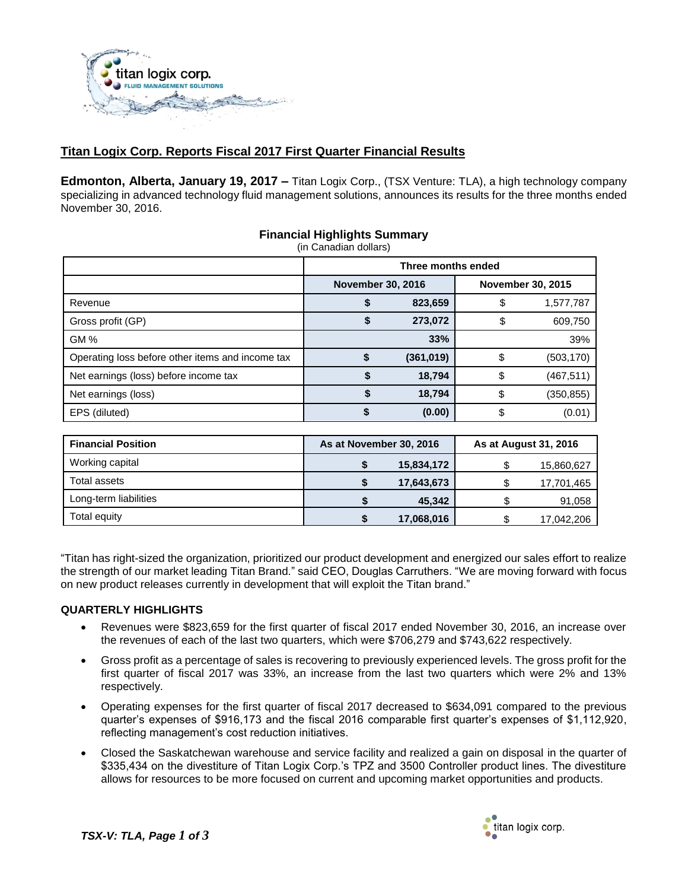

# **Titan Logix Corp. Reports Fiscal 2017 First Quarter Financial Results**

**Edmonton, Alberta, January 19, 2017 –** Titan Logix Corp., (TSX Venture: TLA), a high technology company specializing in advanced technology fluid management solutions, announces its results for the three months ended November 30, 2016.

|                                                  | Three months ended |            |                   |            |  |
|--------------------------------------------------|--------------------|------------|-------------------|------------|--|
| <b>November 30, 2016</b>                         |                    |            | November 30, 2015 |            |  |
| Revenue                                          | \$                 | 823,659    |                   | 1,577,787  |  |
| Gross profit (GP)                                |                    | 273,072    |                   | 609,750    |  |
| <b>GM%</b>                                       |                    | 33%        |                   | 39%        |  |
| Operating loss before other items and income tax | \$                 | (361, 019) |                   | (503, 170) |  |
| Net earnings (loss) before income tax            |                    | 18,794     |                   | (467, 511) |  |
| Net earnings (loss)                              |                    | 18,794     |                   | (350, 855) |  |
| EPS (diluted)                                    | S                  | (0.00)     |                   | (0.01)     |  |

# **Financial Highlights Summary**

| <b>Financial Position</b> | As at November 30, 2016 |            | As at August 31, 2016 |            |
|---------------------------|-------------------------|------------|-----------------------|------------|
| Working capital           |                         | 15,834,172 |                       | 15,860,627 |
| Total assets              |                         | 17,643,673 |                       | 17,701,465 |
| Long-term liabilities     |                         | 45,342     |                       | 91,058     |
| Total equity              |                         | 17,068,016 |                       | 17,042,206 |

"Titan has right-sized the organization, prioritized our product development and energized our sales effort to realize the strength of our market leading Titan Brand." said CEO, Douglas Carruthers. "We are moving forward with focus on new product releases currently in development that will exploit the Titan brand."

## **QUARTERLY HIGHLIGHTS**

- Revenues were \$823,659 for the first quarter of fiscal 2017 ended November 30, 2016, an increase over the revenues of each of the last two quarters, which were \$706,279 and \$743,622 respectively.
- Gross profit as a percentage of sales is recovering to previously experienced levels. The gross profit for the first quarter of fiscal 2017 was 33%, an increase from the last two quarters which were 2% and 13% respectively.
- Operating expenses for the first quarter of fiscal 2017 decreased to \$634,091 compared to the previous quarter's expenses of \$916,173 and the fiscal 2016 comparable first quarter's expenses of \$1,112,920, reflecting management's cost reduction initiatives.
- Closed the Saskatchewan warehouse and service facility and realized a gain on disposal in the quarter of \$335,434 on the divestiture of Titan Logix Corp.'s TPZ and 3500 Controller product lines. The divestiture allows for resources to be more focused on current and upcoming market opportunities and products.

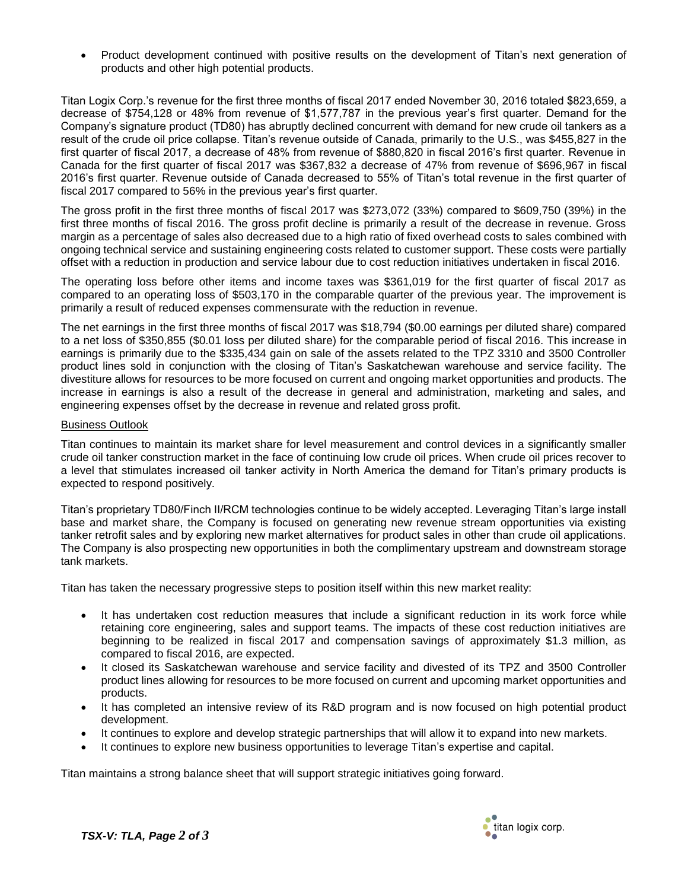Product development continued with positive results on the development of Titan's next generation of products and other high potential products.

Titan Logix Corp.'s revenue for the first three months of fiscal 2017 ended November 30, 2016 totaled \$823,659, a decrease of \$754,128 or 48% from revenue of \$1,577,787 in the previous year's first quarter. Demand for the Company's signature product (TD80) has abruptly declined concurrent with demand for new crude oil tankers as a result of the crude oil price collapse. Titan's revenue outside of Canada, primarily to the U.S., was \$455,827 in the first quarter of fiscal 2017, a decrease of 48% from revenue of \$880,820 in fiscal 2016's first quarter. Revenue in Canada for the first quarter of fiscal 2017 was \$367,832 a decrease of 47% from revenue of \$696,967 in fiscal 2016's first quarter. Revenue outside of Canada decreased to 55% of Titan's total revenue in the first quarter of fiscal 2017 compared to 56% in the previous year's first quarter.

The gross profit in the first three months of fiscal 2017 was \$273,072 (33%) compared to \$609,750 (39%) in the first three months of fiscal 2016. The gross profit decline is primarily a result of the decrease in revenue. Gross margin as a percentage of sales also decreased due to a high ratio of fixed overhead costs to sales combined with ongoing technical service and sustaining engineering costs related to customer support. These costs were partially offset with a reduction in production and service labour due to cost reduction initiatives undertaken in fiscal 2016.

The operating loss before other items and income taxes was \$361,019 for the first quarter of fiscal 2017 as compared to an operating loss of \$503,170 in the comparable quarter of the previous year. The improvement is primarily a result of reduced expenses commensurate with the reduction in revenue.

The net earnings in the first three months of fiscal 2017 was \$18,794 (\$0.00 earnings per diluted share) compared to a net loss of \$350,855 (\$0.01 loss per diluted share) for the comparable period of fiscal 2016. This increase in earnings is primarily due to the \$335,434 gain on sale of the assets related to the TPZ 3310 and 3500 Controller product lines sold in conjunction with the closing of Titan's Saskatchewan warehouse and service facility. The divestiture allows for resources to be more focused on current and ongoing market opportunities and products. The increase in earnings is also a result of the decrease in general and administration, marketing and sales, and engineering expenses offset by the decrease in revenue and related gross profit.

### Business Outlook

Titan continues to maintain its market share for level measurement and control devices in a significantly smaller crude oil tanker construction market in the face of continuing low crude oil prices. When crude oil prices recover to a level that stimulates increased oil tanker activity in North America the demand for Titan's primary products is expected to respond positively.

Titan's proprietary TD80/Finch II/RCM technologies continue to be widely accepted. Leveraging Titan's large install base and market share, the Company is focused on generating new revenue stream opportunities via existing tanker retrofit sales and by exploring new market alternatives for product sales in other than crude oil applications. The Company is also prospecting new opportunities in both the complimentary upstream and downstream storage tank markets.

Titan has taken the necessary progressive steps to position itself within this new market reality:

- It has undertaken cost reduction measures that include a significant reduction in its work force while retaining core engineering, sales and support teams. The impacts of these cost reduction initiatives are beginning to be realized in fiscal 2017 and compensation savings of approximately \$1.3 million, as compared to fiscal 2016, are expected.
- It closed its Saskatchewan warehouse and service facility and divested of its TPZ and 3500 Controller product lines allowing for resources to be more focused on current and upcoming market opportunities and products.
- It has completed an intensive review of its R&D program and is now focused on high potential product development.
- It continues to explore and develop strategic partnerships that will allow it to expand into new markets.
- It continues to explore new business opportunities to leverage Titan's expertise and capital.

Titan maintains a strong balance sheet that will support strategic initiatives going forward.